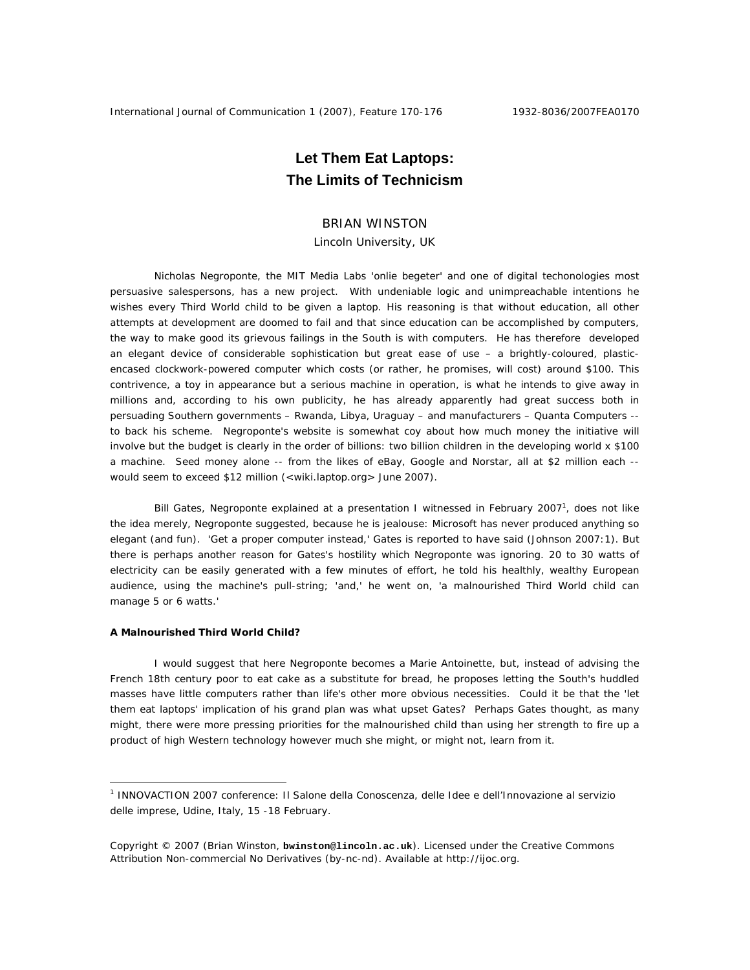## **Let Them Eat Laptops: The Limits of Technicism**

## BRIAN WINSTON

Lincoln University, UK

Nicholas Negroponte, the MIT Media Labs 'onlie begeter' and one of digital techonologies most persuasive salespersons, has a new project. With undeniable logic and unimpreachable intentions he wishes every Third World child to be given a laptop. His reasoning is that without education, all other attempts at development are doomed to fail and that since education can be accomplished by computers, the way to make good its grievous failings in the South is with computers. He has therefore developed an elegant device of considerable sophistication but great ease of use – a brightly-coloured, plasticencased clockwork-powered computer which costs (or rather, he promises, will cost) around \$100. This contrivence, a toy in appearance but a serious machine in operation, is what he intends to give away in millions and, according to his own publicity, he has already apparently had great success both in persuading Southern governments – Rwanda, Libya, Uraguay – and manufacturers – Quanta Computers - to back his scheme. Negroponte's website is somewhat coy about how much money the initiative will involve but the budget is clearly in the order of billions: two billion children in the developing world x \$100 a machine. Seed money alone -- from the likes of eBay, Google and Norstar, all at \$2 million each - would seem to exceed \$12 million (<wiki.laptop.org> June 2007).

Bill Gates, Negroponte explained at a presentation I witnessed in February 2007<sup>1</sup>, does not like the idea merely, Negroponte suggested, because he is jealouse: Microsoft has never produced anything so elegant (and fun). 'Get a proper computer instead,' Gates is reported to have said (Johnson 2007:1). But there is perhaps another reason for Gates's hostility which Negroponte was ignoring. 20 to 30 watts of electricity can be easily generated with a few minutes of effort, he told his healthly, wealthy European audience, using the machine's pull-string; 'and,' he went on, 'a malnourished Third World child can manage 5 or 6 watts.'

## **A Malnourished Third World Child?**

 $\overline{a}$ 

I would suggest that here Negroponte becomes a Marie Antoinette, but, instead of advising the French 18th century poor to eat cake as a substitute for bread, he proposes letting the South's huddled masses have little computers rather than life's other more obvious necessities. Could it be that the 'let them eat laptops' implication of his grand plan was what upset Gates? Perhaps Gates thought, as many might, there were more pressing priorities for the malnourished child than using her strength to fire up a product of high Western technology however much she might, or might not, learn from it.

<sup>1</sup> INNOVACTION 2007 conference: Il Salone della Conoscenza, delle Idee e dell'Innovazione al servizio delle imprese, Udine, Italy, 15 -18 February.

Copyright © 2007 (Brian Winston, **bwinston@lincoln.ac.uk**). Licensed under the Creative Commons Attribution Non-commercial No Derivatives (by-nc-nd). Available at http://ijoc.org.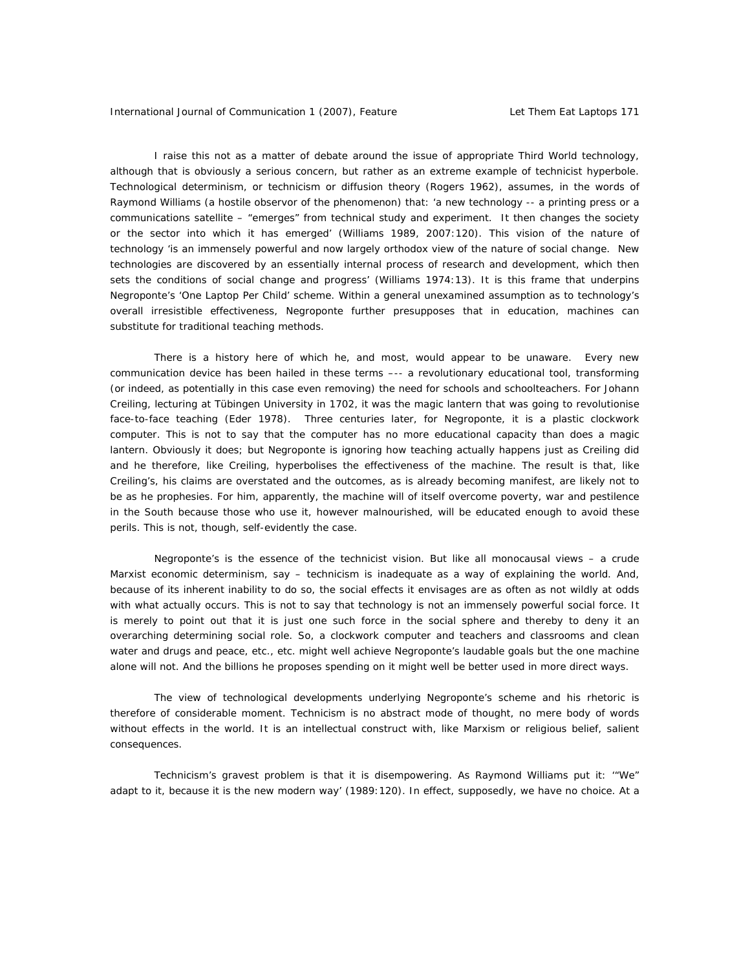I raise this not as a matter of debate around the issue of appropriate Third World technology, although that is obviously a serious concern, but rather as an extreme example of technicist hyperbole. Technological determinism, or technicism or diffusion theory (Rogers 1962), assumes, in the words of Raymond Williams (a hostile observor of the phenomenon) that: 'a new technology -- a printing press or a communications satellite – "emerges" from technical study and experiment. It then changes the society or the sector into which it has emerged' (Williams 1989, 2007:120). This vision of the nature of technology 'is an immensely powerful and now largely orthodox view of the nature of social change. New technologies are discovered by an essentially internal process of research and development, which then sets the conditions of social change and progress' (Williams 1974:13). It is this frame that underpins Negroponte's 'One Laptop Per Child' scheme. Within a general unexamined assumption as to technology's overall irresistible effectiveness, Negroponte further presupposes that in education, machines can substitute for traditional teaching methods.

There is a history here of which he, and most, would appear to be unaware. Every new communication device has been hailed in these terms –-- a revolutionary educational tool, transforming (or indeed, as potentially in this case even removing) the need for schools and schoolteachers. For Johann Creiling, lecturing at Tübingen University in 1702, it was the magic lantern that was going to revolutionise face-to-face teaching (Eder 1978). Three centuries later, for Negroponte, it is a plastic clockwork computer. This is not to say that the computer has no more educational capacity than does a magic lantern. Obviously it does; but Negroponte is ignoring how teaching actually happens just as Creiling did and he therefore, like Creiling, hyperbolises the effectiveness of the machine. The result is that, like Creiling's, his claims are overstated and the outcomes, as is already becoming manifest, are likely not to be as he prophesies. For him, apparently, the machine will *of itself* overcome poverty, war and pestilence in the South because those who use it, however malnourished, will be educated enough to avoid these perils. This is not, though, self-evidently the case.

Negroponte's is the essence of the technicist vision. But like all monocausal views – a crude Marxist economic determinism, say – technicism is inadequate as a way of explaining the world. And, because of its inherent inability to do so, the social effects it envisages are as often as not wildly at odds with what actually occurs. This is not to say that technology is not an immensely powerful social force. It is merely to point out that it is just one such force in the social sphere and thereby to deny it an overarching *determining* social role. So, a clockwork computer and teachers and classrooms and clean water and drugs and peace, etc., etc. might well achieve Negroponte's laudable goals but the one machine alone will not. And the billions he proposes spending on it might well be better used in more direct ways.

The view of technological developments underlying Negroponte's scheme and his rhetoric is therefore of considerable moment. Technicism is no abstract mode of thought, no mere body of words without effects in the world. It is an intellectual construct with, like Marxism or religious belief, salient consequences.

Technicism's gravest problem is that it is disempowering. As Raymond Williams put it: '"We" adapt to it, because it is the new modern way' (1989:120). In effect, supposedly, we have no choice. At a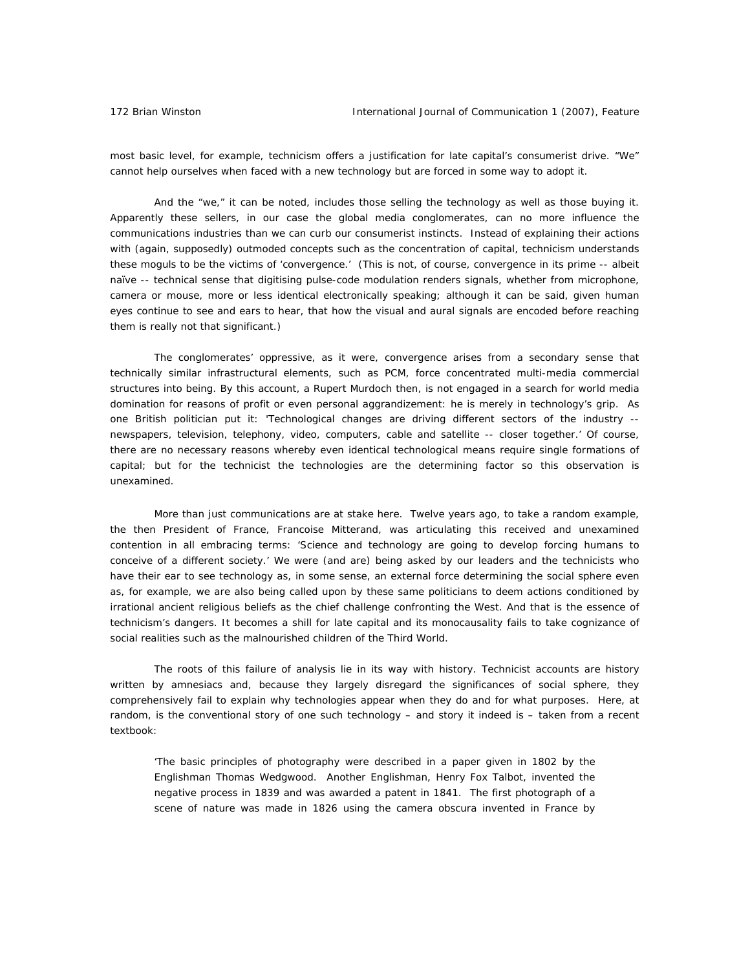most basic level, for example, technicism offers a justification for late capital's consumerist drive. "We" cannot help ourselves when faced with a new technology but are forced in some way to adopt it.

And the "we," it can be noted, includes those selling the technology as well as those buying it. Apparently these sellers, in our case the global media conglomerates, can no more influence the communications industries than we can curb our consumerist instincts. Instead of explaining their actions with (again, supposedly) outmoded concepts such as the concentration of capital, technicism understands these moguls to be the victims of 'convergence.' (This is not, of course, convergence in its prime -- albeit naïve -- technical sense that digitising pulse-code modulation renders signals, whether from microphone, camera or mouse, more or less identical electronically speaking; although it can be said, given human eyes continue to see and ears to hear, that how the visual and aural signals are encoded before reaching them is really not that significant.)

The conglomerates' oppressive, as it were, convergence arises from a secondary sense that technically similar infrastructural elements, such as PCM, force concentrated multi-media commercial structures into being. By this account, a Rupert Murdoch then, is not engaged in a search for world media domination for reasons of profit or even personal aggrandizement: he is merely in technology's grip. As one British politician put it: 'Technological changes are *driving* different sectors of the industry - newspapers, television, telephony, video, computers, cable and satellite -- closer together.' Of course, there are no necessary reasons whereby even identical technological means require single formations of capital; but for the technicist the technologies are the determining factor so this observation is unexamined.

More than just communications are at stake here. Twelve years ago, to take a random example, the then President of France, Francoise Mitterand, was articulating this received and unexamined contention in all embracing terms: 'Science and technology are going to develop forcing humans to conceive of a different society.' We were (and are) being asked by our leaders and the technicists who have their ear to see technology as, in some sense, an external force determining the social sphere even as, for example, we are also being called upon by these same politicians to deem actions conditioned by irrational ancient religious beliefs as the chief challenge confronting the West. And that is the essence of technicism's dangers. It becomes a shill for late capital and its monocausality fails to take cognizance of social realities such as the malnourished children of the Third World.

The roots of this failure of analysis lie in its way with history. Technicist accounts are history written by amnesiacs and, because they largely disregard the significances of social sphere, they comprehensively fail to explain why technologies appear when they do and for what purposes. Here, at random, is the conventional story of one such technology – and story it indeed is – taken from a recent textbook:

'The basic principles of photography were described in a paper given in 1802 by the Englishman Thomas Wedgwood. Another Englishman, Henry Fox Talbot, invented the negative process in 1839 and was awarded a patent in 1841. The first photograph of a scene of nature was made in 1826 using the camera obscura invented in France by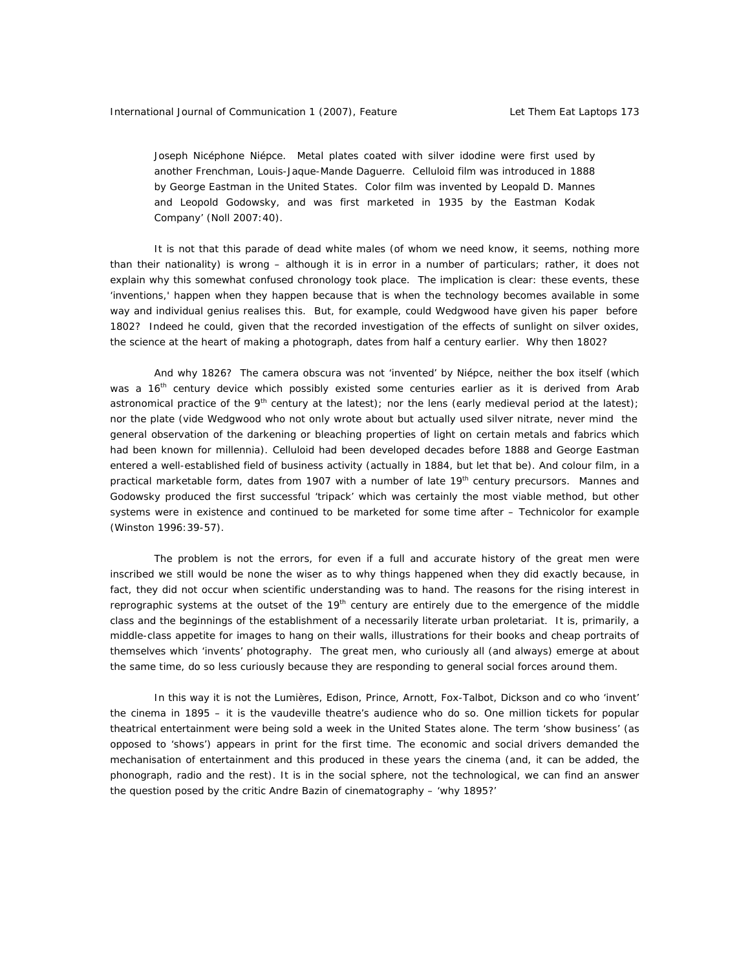Joseph Nicéphone Niépce. Metal plates coated with silver idodine were first used by another Frenchman, Louis-Jaque-Mande Daguerre. Celluloid film was introduced in 1888 by George Eastman in the United States. Color film was invented by Leopald D. Mannes and Leopold Godowsky, and was first marketed in 1935 by the Eastman Kodak Company' (Noll 2007:40).

It is not that this parade of dead white males (of whom we need know, it seems, nothing more than their nationality) is wrong – although it is in error in a number of particulars; rather, it does not explain why this somewhat confused chronology took place. The implication is clear: these events, these 'inventions,' happen when they happen because that is when the technology becomes available in some way and individual genius realises this. But, for example, could Wedgwood have given his paper before 1802? Indeed he could, given that the *recorded* investigation of the effects of sunlight on silver oxides, the science at the heart of making a photograph, dates from half a century earlier. Why then 1802?

And why 1826? The *camera obscura* was not 'invented' by Niépce, neither the box itself (which was a 16<sup>th</sup> century device which possibly existed some centuries earlier as it is derived from Arab astronomical practice of the  $9<sup>th</sup>$  century at the latest); nor the lens (early medieval period at the latest); nor the plate (*vide* Wedgwood who not only wrote about but actually used silver nitrate, never mind the general observation of the darkening or bleaching properties of light on certain metals and fabrics which had been known for millennia). Celluloid had been developed decades before 1888 and George Eastman entered a well-established field of business activity (actually in 1884, but let that be). And colour film, in a practical marketable form, dates from 1907 with a number of late  $19<sup>th</sup>$  century precursors. Mannes and Godowsky produced the first successful 'tripack' which was certainly the most viable method, but other systems were in existence and continued to be marketed for some time after – Technicolor for example (Winston 1996:39-57).

The problem is not the errors, for even if a full and accurate history of the great men were inscribed we still would be none the wiser as to why things happened when they did exactly because, in fact, they did not occur when scientific understanding was to hand. The reasons for the rising interest in reprographic systems at the outset of the 19<sup>th</sup> century are entirely due to the emergence of the middle class and the beginnings of the establishment of a necessarily literate urban proletariat. It is, primarily, a middle-class appetite for images to hang on their walls, illustrations for their books and cheap portraits of themselves which 'invents' photography. The great men, who curiously all (and always) emerge at about the same time, do so less curiously because they are responding to general social forces around them.

In this way it is not the Lumières, Edison, Prince, Arnott, Fox-Talbot, Dickson and co who 'invent' the cinema in 1895 – it is the vaudeville theatre's audience who do so. One million tickets for popular theatrical entertainment were being sold a week in the United States alone. The term 'show business' (as opposed to 'shows') appears in print for the first time. The economic and social drivers demanded the mechanisation of entertainment and this produced in these years the cinema (and, it can be added, the phonograph, radio and the rest). It is in the social sphere, not the technological, we can find an answer the question posed by the critic Andre Bazin of cinematography – 'why 1895?'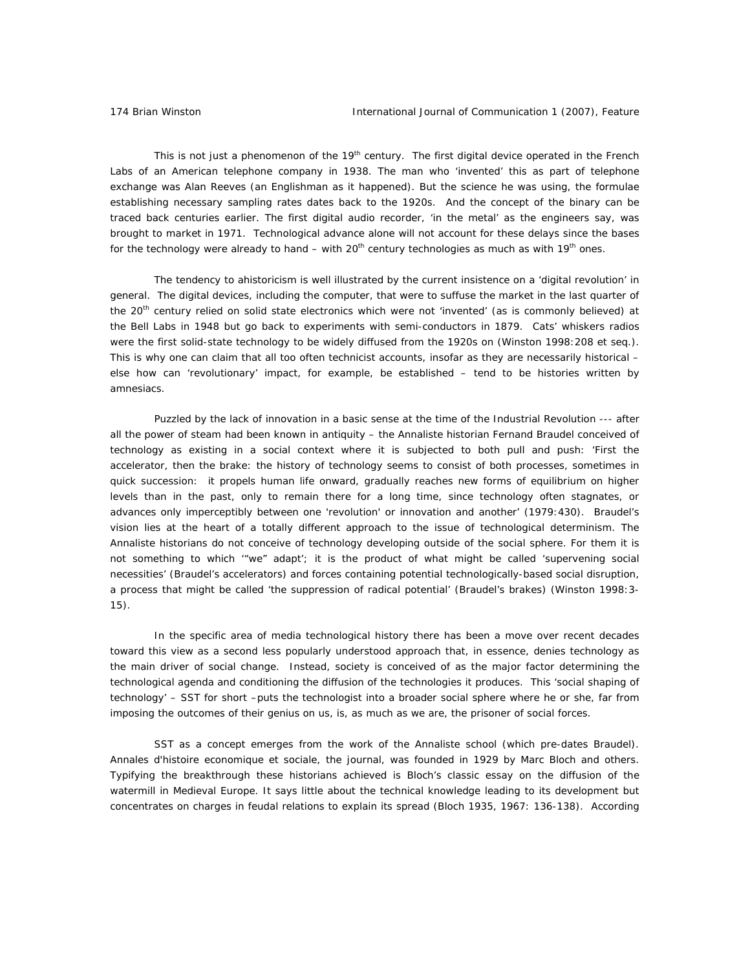This is not just a phenomenon of the 19<sup>th</sup> century. The first digital device operated in the French Labs of an American telephone company in 1938. The man who 'invented' this as part of telephone exchange was Alan Reeves (an Englishman as it happened). But the science he was using, the formulae establishing necessary sampling rates dates back to the 1920s. And the concept of the binary can be traced back centuries earlier. The first digital audio recorder, 'in the metal' as the engineers say, was brought to market in 1971. Technological advance alone will not account for these delays since the bases for the technology were already to hand – with  $20<sup>th</sup>$  century technologies as much as with 19<sup>th</sup> ones.

The tendency to ahistoricism is well illustrated by the current insistence on a 'digital revolution' in general. The digital devices, including the computer, that were to suffuse the market in the last quarter of the 20<sup>th</sup> century relied on solid state electronics which were not 'invented' (as is commonly believed) at the Bell Labs in 1948 but go back to experiments with semi-conductors in 1879. Cats' whiskers radios were the first solid-state technology to be widely diffused from the 1920s on (Winston 1998:208 et seq.). This is why one can claim that all too often technicist accounts, insofar as they are necessarily historical – else how can 'revolutionary' impact, for example, be established – tend to be histories written by amnesiacs.

Puzzled by the lack of innovation in a basic sense at the time of the Industrial Revolution --- after all the power of steam had been known in antiquity – the *Annaliste* historian Fernand Braudel conceived of technology as existing in a social context where it is subjected to both pull and push: 'First the accelerator, then the brake: the history of technology seems to consist of both processes, sometimes in quick succession: it propels human life onward, gradually reaches new forms of equilibrium on higher levels than in the past, only to remain there for a long time, since technology often stagnates, or advances only imperceptibly between one 'revolution' or innovation and another' (1979:430). Braudel's vision lies at the heart of a totally different approach to the issue of technological determinism. The *Annaliste* historians do not conceive of technology developing outside of the social sphere. For them it is not something to which '"we" adapt'; it is the product of what might be called 'supervening social necessities' (Braudel's accelerators) and forces containing potential technologically-based social disruption, a process that might be called 'the suppression of radical potential' (Braudel's brakes) (Winston 1998:3- 15).

In the specific area of media technological history there has been a move over recent decades toward this view as a second less popularly understood approach that, in essence, denies technology as the main driver of social change. Instead, society is conceived of as the major factor determining the technological agenda and conditioning the diffusion of the technologies it produces. This 'social shaping of technology' – SST for short –puts the technologist into a broader social sphere where he or she, far from imposing the outcomes of their genius on us, is, as much as we are, the prisoner of social forces.

SST as a concept emerges from the work of the *Annaliste* school (which pre-dates Braudel). *Annales d'histoire economique et sociale*, the journal, was founded in 1929 by Marc Bloch and others. Typifying the breakthrough these historians achieved is Bloch's classic essay on the diffusion of the watermill in Medieval Europe. It says little about the technical knowledge leading to its development but concentrates on charges in feudal relations to explain its spread (Bloch 1935, 1967: 136-138). According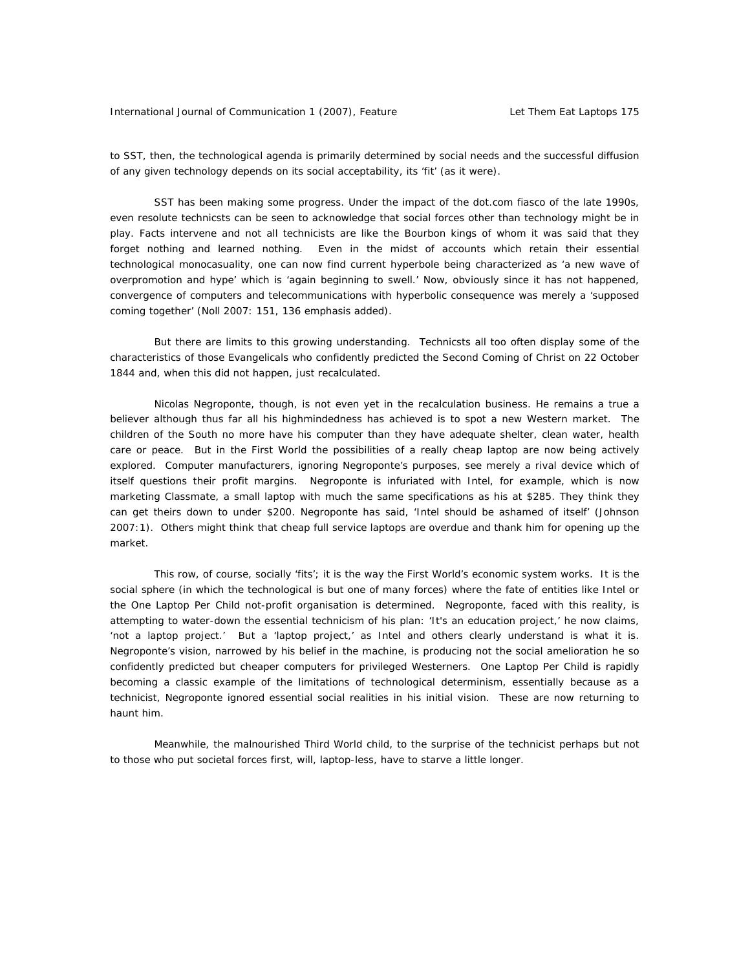to SST, then, the technological agenda is primarily determined by social needs and the successful diffusion of any given technology depends on its social acceptability, its 'fit' (as it were).

SST has been making some progress. Under the impact of the dot.com fiasco of the late 1990s, even resolute technicsts can be seen to acknowledge that social forces other than technology might be in play. Facts intervene and not all technicists are like the Bourbon kings of whom it was said that they forget nothing and learned nothing. Even in the midst of accounts which retain their essential technological monocasuality, one can now find current hyperbole being characterized as 'a new wave of overpromotion and hype' which is 'again beginning to swell.' Now, obviously since it has not happened, convergence of computers and telecommunications with hyperbolic consequence was merely a '*supposed* coming together' (Noll 2007: 151, 136 *emphasis added*).

But there are limits to this growing understanding. Technicsts all too often display some of the characteristics of those Evangelicals who confidently predicted the Second Coming of Christ on 22 October 1844 and, when this did not happen, just recalculated.

Nicolas Negroponte, though, is not even yet in the recalculation business. He remains a true a believer although thus far all his highmindedness has achieved is to spot a new Western market. The children of the South no more have his computer than they have adequate shelter, clean water, health care or peace. But in the First World the possibilities of a really cheap laptop are now being actively explored. Computer manufacturers, ignoring Negroponte's purposes, see merely a rival device which of itself questions their profit margins. Negroponte is infuriated with Intel, for example, which is now marketing *Classmate*, a small laptop with much the same specifications as his at \$285. They think they can get theirs down to under \$200. Negroponte has said, 'Intel should be ashamed of itself' (Johnson 2007:1). Others might think that cheap full service laptops are overdue and thank him for opening up the market.

This row, of course, socially 'fits'; it is the way the First World's economic system works. It is the social sphere (in which the technological is but one of many forces) where the fate of entities like Intel or the One Laptop Per Child not-profit organisation is determined. Negroponte, faced with this reality, is attempting to water-down the essential technicism of his plan: 'It's an education project,' he now claims, 'not a laptop project.' But a 'laptop project,' as Intel and others clearly understand is what it is. Negroponte's vision, narrowed by his belief in the machine, is producing not the social amelioration he so confidently predicted but cheaper computers for privileged Westerners. One Laptop Per Child is rapidly becoming a classic example of the limitations of technological determinism, essentially because as a technicist, Negroponte ignored essential social realities in his initial vision. These are now returning to haunt him.

Meanwhile, the malnourished Third World child, to the surprise of the technicist perhaps but not to those who put societal forces first, will, laptop-less, have to starve a little longer.